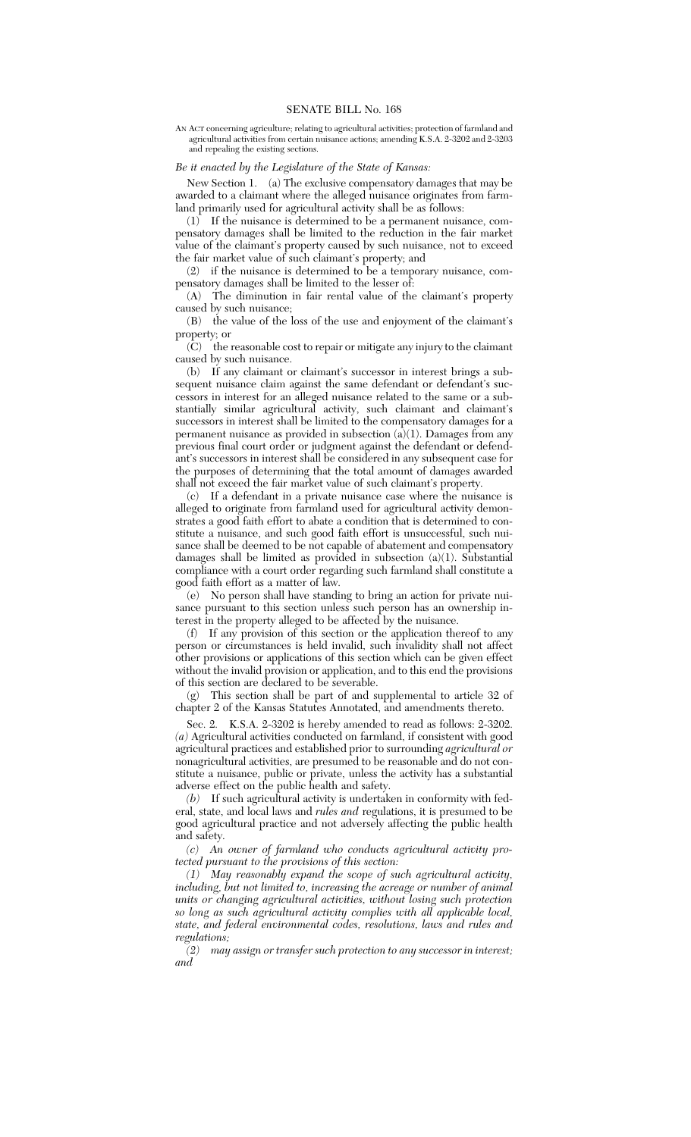AN ACT concerning agriculture; relating to agricultural activities; protection of farmland and agricultural activities from certain nuisance actions; amending K.S.A. 2-3202 and 2-3203 and repealing the existing sections.

## *Be it enacted by the Legislature of the State of Kansas:*

New Section 1. (a) The exclusive compensatory damages that may be awarded to a claimant where the alleged nuisance originates from farmland primarily used for agricultural activity shall be as follows:

(1) If the nuisance is determined to be a permanent nuisance, compensatory damages shall be limited to the reduction in the fair market value of the claimant's property caused by such nuisance, not to exceed the fair market value of such claimant's property; and

(2) if the nuisance is determined to be a temporary nuisance, compensatory damages shall be limited to the lesser of:

(A) The diminution in fair rental value of the claimant's property caused by such nuisance;

(B) the value of the loss of the use and enjoyment of the claimant's property; or

(C) the reasonable cost to repair or mitigate any injury to the claimant caused by such nuisance.

(b) If any claimant or claimant's successor in interest brings a subsequent nuisance claim against the same defendant or defendant's successors in interest for an alleged nuisance related to the same or a substantially similar agricultural activity, such claimant and claimant's successors in interest shall be limited to the compensatory damages for a permanent nuisance as provided in subsection (a)(1). Damages from any previous final court order or judgment against the defendant or defendant's successors in interest shall be considered in any subsequent case for the purposes of determining that the total amount of damages awarded shall not exceed the fair market value of such claimant's property.

(c) If a defendant in a private nuisance case where the nuisance is alleged to originate from farmland used for agricultural activity demonstrates a good faith effort to abate a condition that is determined to constitute a nuisance, and such good faith effort is unsuccessful, such nuisance shall be deemed to be not capable of abatement and compensatory damages shall be limited as provided in subsection (a)(1). Substantial compliance with a court order regarding such farmland shall constitute a good faith effort as a matter of law.

(e) No person shall have standing to bring an action for private nuisance pursuant to this section unless such person has an ownership interest in the property alleged to be affected by the nuisance.

(f) If any provision of this section or the application thereof to any person or circumstances is held invalid, such invalidity shall not affect other provisions or applications of this section which can be given effect without the invalid provision or application, and to this end the provisions of this section are declared to be severable.

(g) This section shall be part of and supplemental to article 32 of chapter 2 of the Kansas Statutes Annotated, and amendments thereto.

Sec. 2. K.S.A. 2-3202 is hereby amended to read as follows: 2-3202. *(a)* Agricultural activities conducted on farmland, if consistent with good agricultural practices and established prior to surrounding *agricultural or* nonagricultural activities, are presumed to be reasonable and do not constitute a nuisance, public or private, unless the activity has a substantial adverse effect on the public health and safety.

*(b)* If such agricultural activity is undertaken in conformity with federal, state, and local laws and *rules and* regulations, it is presumed to be good agricultural practice and not adversely affecting the public health and safety.

*(c) An owner of farmland who conducts agricultural activity protected pursuant to the provisions of this section:*

*(1) May reasonably expand the scope of such agricultural activity, including, but not limited to, increasing the acreage or number of animal units or changing agricultural activities, without losing such protection so long as such agricultural activity complies with all applicable local, state, and federal environmental codes, resolutions, laws and rules and regulations;*

*(2) may assign or transfer such protection to any successor in interest; and*